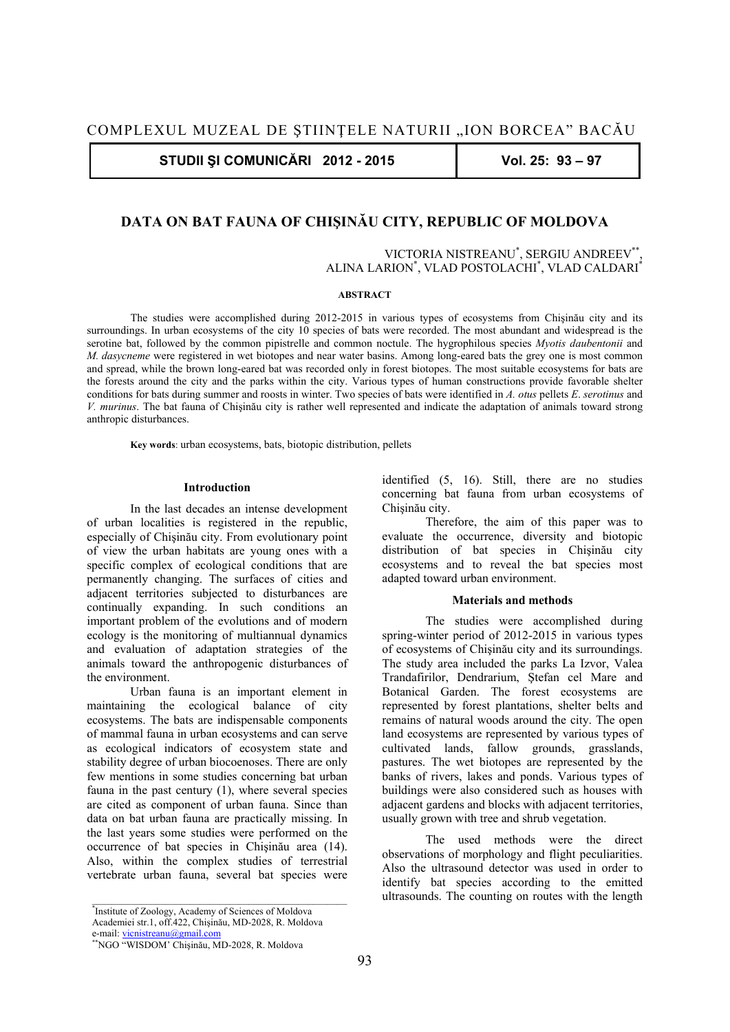**STUDII ŞI COMUNICĂRI 2012 - 2015 Vol. 25: 93 – 97** 

# **DATA ON BAT FAUNA OF CHIŞINĂU CITY, REPUBLIC OF MOLDOVA**

VICTORIA NISTREANU\* , SERGIU ANDREEV\*\*, ALINA LARION\* , VLAD POSTOLACHI\* , VLAD CALDARI\*

### **ABSTRACT**

The studies were accomplished during 2012-2015 in various types of ecosystems from Chişinău city and its surroundings. In urban ecosystems of the city 10 species of bats were recorded. The most abundant and widespread is the serotine bat, followed by the common pipistrelle and common noctule. The hygrophilous species *Myotis daubentonii* and *M. dasycneme* were registered in wet biotopes and near water basins. Among long-eared bats the grey one is most common and spread, while the brown long-eared bat was recorded only in forest biotopes. The most suitable ecosystems for bats are the forests around the city and the parks within the city. Various types of human constructions provide favorable shelter conditions for bats during summer and roosts in winter. Two species of bats were identified in *A. otus* pellets *E*. *serotinus* and *V. murinus*. The bat fauna of Chişinău city is rather well represented and indicate the adaptation of animals toward strong anthropic disturbances.

**Key words**: urban ecosystems, bats, biotopic distribution, pellets

## **Introduction**

In the last decades an intense development of urban localities is registered in the republic, especially of Chişinău city. From evolutionary point of view the urban habitats are young ones with a specific complex of ecological conditions that are permanently changing. The surfaces of cities and adjacent territories subjected to disturbances are continually expanding. In such conditions an important problem of the evolutions and of modern ecology is the monitoring of multiannual dynamics and evaluation of adaptation strategies of the animals toward the anthropogenic disturbances of the environment. Urban fauna is an important element in

maintaining the ecological balance of city ecosystems. The bats are indispensable components of mammal fauna in urban ecosystems and can serve as ecological indicators of ecosystem state and stability degree of urban biocoenoses. There are only few mentions in some studies concerning bat urban fauna in the past century (1), where several species are cited as component of urban fauna. Since than data on bat urban fauna are practically missing. In the last years some studies were performed on the occurrence of bat species in Chişinău area (14). Also, within the complex studies of terrestrial vertebrate urban fauna, several bat species were identified (5, 16). Still, there are no studies concerning bat fauna from urban ecosystems of Chişinău city.

Therefore, the aim of this paper was to evaluate the occurrence, diversity and biotopic distribution of bat species in Chişinău city ecosystems and to reveal the bat species most adapted toward urban environment.

## **Materials and methods**

The studies were accomplished during spring-winter period of 2012-2015 in various types of ecosystems of Chişinău city and its surroundings. The study area included the parks La Izvor, Valea Trandafirilor, Dendrarium, Ştefan cel Mare and Botanical Garden. The forest ecosystems are represented by forest plantations, shelter belts and remains of natural woods around the city. The open land ecosystems are represented by various types of cultivated lands, fallow grounds, grasslands, pastures. The wet biotopes are represented by the banks of rivers, lakes and ponds. Various types of buildings were also considered such as houses with adjacent gardens and blocks with adjacent territories, usually grown with tree and shrub vegetation.

The used methods were the direct observations of morphology and flight peculiarities. Also the ultrasound detector was used in order to identify bat species according to the emitted ultrasounds. The counting on routes with the length

*<sup>\*</sup>* Institute of Zoology, Academy of Sciences of Moldova Academiei str.1, off.422, Chişinău, MD-2028, R. Moldova

e-mail: vicnistreanu@gmail.com

<sup>\*\*</sup>NGO "WISDOM' Chişinău, MD-2028, R. Moldova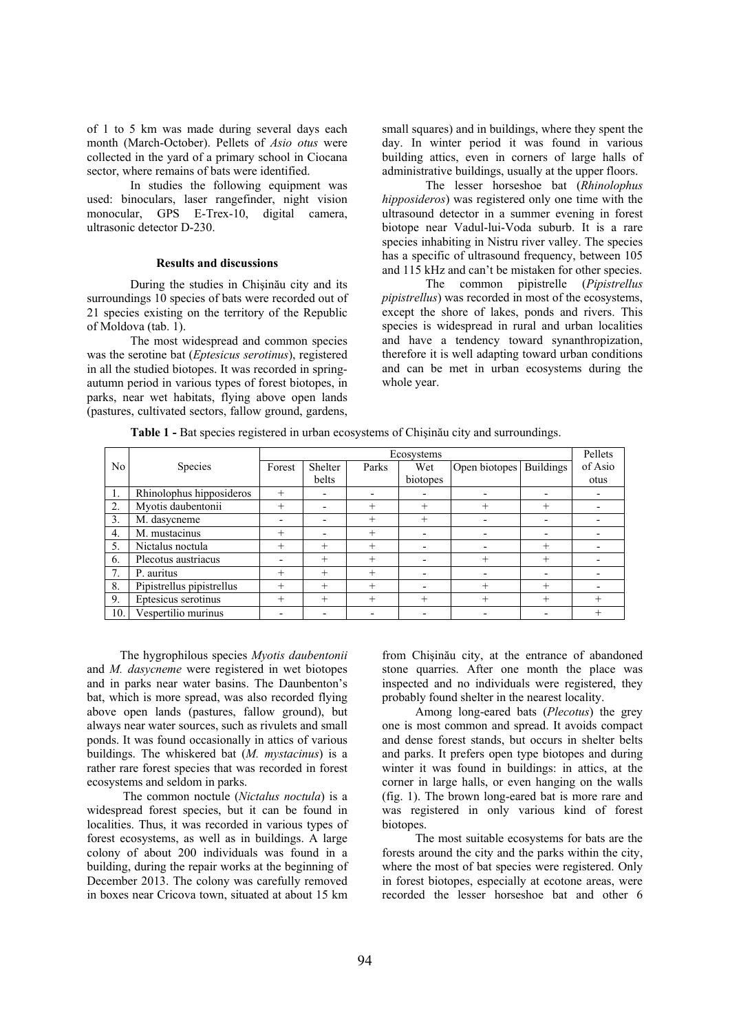of 1 to 5 km was made during several days each month (March-October). Pellets of *Asio otus* were collected in the yard of a primary school in Ciocana sector, where remains of bats were identified.

In studies the following equipment was used: binoculars, laser rangefinder, night vision monocular, GPS E-Trex-10, digital camera, ultrasonic detector D-230.

# **Results and discussions**

 During the studies in Chişinău city and its surroundings 10 species of bats were recorded out of 21 species existing on the territory of the Republic of Moldova (tab. 1).

The most widespread and common species was the serotine bat (*Eptesicus serotinus*), registered in all the studied biotopes. It was recorded in springautumn period in various types of forest biotopes, in parks, near wet habitats, flying above open lands (pastures, cultivated sectors, fallow ground, gardens, small squares) and in buildings, where they spent the day. In winter period it was found in various building attics, even in corners of large halls of administrative buildings, usually at the upper floors.

The lesser horseshoe bat (*Rhinolophus hipposideros*) was registered only one time with the ultrasound detector in a summer evening in forest biotope near Vadul-lui-Voda suburb. It is a rare species inhabiting in Nistru river valley. The species has a specific of ultrasound frequency, between 105 and 115 kHz and can't be mistaken for other species.

The common pipistrelle (*Pipistrellus pipistrellus*) was recorded in most of the ecosystems, except the shore of lakes, ponds and rivers. This species is widespread in rural and urban localities and have a tendency toward synanthropization, therefore it is well adapting toward urban conditions and can be met in urban ecosystems during the whole year.

**Table 1 -** Bat species registered in urban ecosystems of Chişinău city and surroundings.

|     |                           | Ecosystems               |              |        |          |                         |       | Pellets |
|-----|---------------------------|--------------------------|--------------|--------|----------|-------------------------|-------|---------|
| No  | <b>Species</b>            | Forest                   | Shelter      | Parks  | Wet      | Open biotopes Buildings |       | of Asio |
|     |                           |                          | <b>belts</b> |        | biotopes |                         |       | otus    |
| 1.  | Rhinolophus hipposideros  | $^{+}$                   |              |        |          |                         |       |         |
| 2.  | Myotis daubentonii        | $^{+}$                   | -            | $^{+}$ | $^{+}$   | $^{+}$                  | $^+$  |         |
| 3.  | M. dasycneme              |                          |              | $^{+}$ | $^{+}$   |                         |       |         |
| 4.  | M. mustacinus             | $^+$                     |              | $^{+}$ |          |                         |       |         |
| 5.  | Nictalus noctula          | $^{+}$                   | $^{+}$       | $^{+}$ |          |                         | $\pm$ |         |
| 6.  | Plecotus austriacus       | $\overline{\phantom{0}}$ | $^{+}$       | $+$    |          | $^{+}$                  | $^+$  |         |
| 7.  | P. auritus                | $^{+}$                   | $^{+}$       | $^{+}$ |          |                         |       |         |
| 8.  | Pipistrellus pipistrellus | $^{+}$                   | $^{+}$       | $^{+}$ |          | $^{+}$                  | $\pm$ |         |
| 9.  | Eptesicus serotinus       | $^{+}$                   | $^{+}$       | $+$    | $^{+}$   | $^{+}$                  | $^+$  | $^{+}$  |
| 10. | Vespertilio murinus       |                          | -            |        |          |                         |       | $^{+}$  |

The hygrophilous species *Myotis daubentonii*  and *M. dasycneme* were registered in wet biotopes and in parks near water basins. The Daunbenton's bat, which is more spread, was also recorded flying above open lands (pastures, fallow ground), but always near water sources, such as rivulets and small ponds. It was found occasionally in attics of various buildings. The whiskered bat (*M. mystacinus*) is a rather rare forest species that was recorded in forest ecosystems and seldom in parks.

 The common noctule (*Nictalus noctula*) is a widespread forest species, but it can be found in localities. Thus, it was recorded in various types of forest ecosystems, as well as in buildings. A large colony of about 200 individuals was found in a building, during the repair works at the beginning of December 2013. The colony was carefully removed in boxes near Cricova town, situated at about 15 km from Chişinău city, at the entrance of abandoned stone quarries. After one month the place was inspected and no individuals were registered, they probably found shelter in the nearest locality.

Among long-eared bats (*Plecotus*) the grey one is most common and spread. It avoids compact and dense forest stands, but occurs in shelter belts and parks. It prefers open type biotopes and during winter it was found in buildings: in attics, at the corner in large halls, or even hanging on the walls (fig. 1). The brown long-eared bat is more rare and was registered in only various kind of forest biotopes.

The most suitable ecosystems for bats are the forests around the city and the parks within the city, where the most of bat species were registered. Only in forest biotopes, especially at ecotone areas, were recorded the lesser horseshoe bat and other 6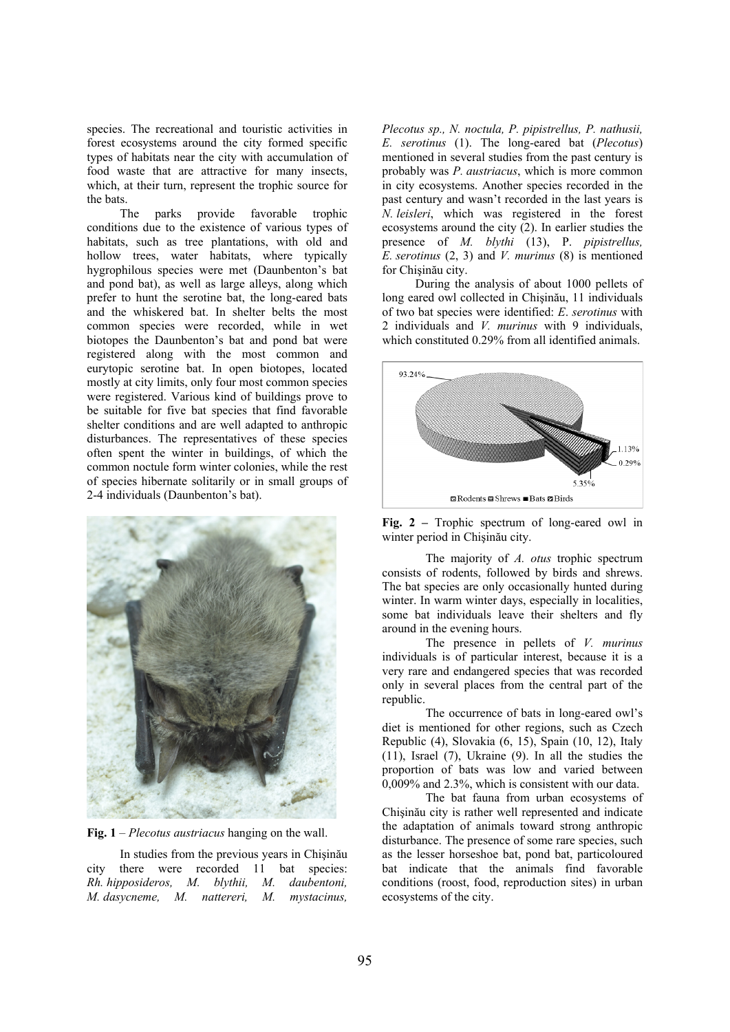species. The recreational and touristic activities in forest ecosystems around the city formed specific types of habitats near the city with accumulation of food waste that are attractive for many insects, which, at their turn, represent the trophic source for the bats.

The parks provide favorable trophic conditions due to the existence of various types of habitats, such as tree plantations, with old and hollow trees, water habitats, where typically hygrophilous species were met (Daunbenton's bat and pond bat), as well as large alleys, along which prefer to hunt the serotine bat, the long-eared bats and the whiskered bat. In shelter belts the most common species were recorded, while in wet biotopes the Daunbenton's bat and pond bat were registered along with the most common and eurytopic serotine bat. In open biotopes, located mostly at city limits, only four most common species were registered. Various kind of buildings prove to be suitable for five bat species that find favorable shelter conditions and are well adapted to anthropic disturbances. The representatives of these species often spent the winter in buildings, of which the common noctule form winter colonies, while the rest of species hibernate solitarily or in small groups of 2-4 individuals (Daunbenton's bat).



**Fig. 1** – *Plecotus austriacus* hanging on the wall.

In studies from the previous years in Chişinău city there were recorded 11 bat species: *Rh. hipposideros, M. blythii, M. daubentoni, M. dasycneme, M. nattereri, M. mystacinus,* 

*Plecotus sp., N. noctula, P. pipistrellus, P. nathusii, E. serotinus* (1). The long-eared bat (*Plecotus*) mentioned in several studies from the past century is probably was *P. austriacus*, which is more common in city ecosystems. Another species recorded in the past century and wasn't recorded in the last years is *N. leisleri*, which was registered in the forest ecosystems around the city (2). In earlier studies the presence of *M. blythi* (13), P. *pipistrellus, E. serotinus* (2, 3) and *V. murinus* (8) is mentioned for Chişinău city.

During the analysis of about 1000 pellets of long eared owl collected in Chişinău, 11 individuals of two bat species were identified: *E*. *serotinus* with 2 individuals and *V. murinus* with 9 individuals, which constituted 0.29% from all identified animals.



**Fig. 2 –** Trophic spectrum of long-eared owl in winter period in Chişinău city.

 The majority of *A. otus* trophic spectrum consists of rodents, followed by birds and shrews. The bat species are only occasionally hunted during winter. In warm winter days, especially in localities, some bat individuals leave their shelters and fly around in the evening hours.

The presence in pellets of *V. murinus* individuals is of particular interest, because it is a very rare and endangered species that was recorded only in several places from the central part of the republic.

The occurrence of bats in long-eared owl's diet is mentioned for other regions, such as Czech Republic (4), Slovakia (6, 15), Spain (10, 12), Italy (11), Israel (7), Ukraine (9). In all the studies the proportion of bats was low and varied between 0,009% and 2.3%, which is consistent with our data.

The bat fauna from urban ecosystems of Chişinău city is rather well represented and indicate the adaptation of animals toward strong anthropic disturbance. The presence of some rare species, such as the lesser horseshoe bat, pond bat, particoloured bat indicate that the animals find favorable conditions (roost, food, reproduction sites) in urban ecosystems of the city.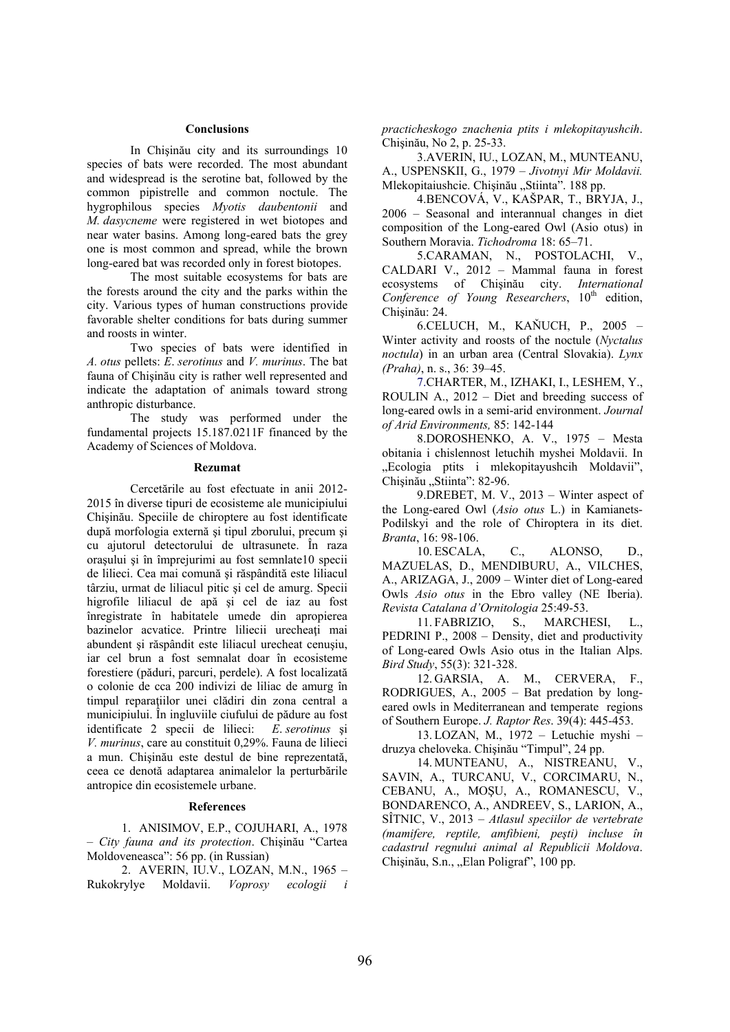## **Conclusions**

In Chişinău city and its surroundings 10 species of bats were recorded. The most abundant and widespread is the serotine bat, followed by the common pipistrelle and common noctule. The hygrophilous species *Myotis daubentonii* and *M. dasycneme* were registered in wet biotopes and near water basins. Among long-eared bats the grey one is most common and spread, while the brown long-eared bat was recorded only in forest biotopes.

The most suitable ecosystems for bats are the forests around the city and the parks within the city. Various types of human constructions provide favorable shelter conditions for bats during summer and roosts in winter.

Two species of bats were identified in *A. otus* pellets: *E*. *serotinus* and *V. murinus*. The bat fauna of Chişinău city is rather well represented and indicate the adaptation of animals toward strong anthropic disturbance.

The study was performed under the fundamental projects 15.187.0211F financed by the Academy of Sciences of Moldova.

#### **Rezumat**

Cercetările au fost efectuate in anii 2012- 2015 în diverse tipuri de ecosisteme ale municipiului Chişinău. Speciile de chiroptere au fost identificate după morfologia externă şi tipul zborului, precum şi cu ajutorul detectorului de ultrasunete. În raza oraşului şi în împrejurimi au fost semnlate10 specii de lilieci. Cea mai comună şi răspândită este liliacul târziu, urmat de liliacul pitic şi cel de amurg. Specii higrofile liliacul de apă şi cel de iaz au fost înregistrate în habitatele umede din apropierea bazinelor acvatice. Printre liliecii urecheați mai abundent şi răspândit este liliacul urecheat cenuşiu, iar cel brun a fost semnalat doar în ecosisteme forestiere (păduri, parcuri, perdele). A fost localizată o colonie de cca 200 indivizi de liliac de amurg în timpul reparaţiilor unei clădiri din zona central a municipiului. În ingluviile ciufului de pădure au fost identificate 2 specii de lilieci: *E*. *serotinus* şi *V. murinus*, care au constituit 0,29%. Fauna de lilieci a mun. Chişinău este destul de bine reprezentată, ceea ce denotă adaptarea animalelor la perturbările antropice din ecosistemele urbane.

# **References**

1. ANISIMOV, E.P., COJUHARI, A., 1978 – *City fauna and its protection*. Chişinău "Cartea Moldoveneasca": 56 pp. (in Russian)

2. AVERIN, IU.V., LOZAN, M.N., 1965 – Rukokrylye Moldavii. *Voprosy ecologii i*  *practicheskogo znachenia ptits i mlekopitayushcih*. Chişinău, No 2, p. 25-33.

3.AVERIN, IU., LOZAN, M., MUNTEANU, A., USPENSKII, G., 1979 – *Jivotnyi Mir Moldavii.* Mlekopitaiushcie. Chisinău "Stiinta". 188 pp.

4.BENCOVÁ, V., KAŠPAR, T., BRYJA, J., 2006 – Seasonal and interannual changes in diet composition of the Long-eared Owl (Asio otus) in Southern Moravia. *Tichodroma* 18: 65–71.

5.CARAMAN, N., POSTOLACHI, V., CALDARI V., 2012 – Mammal fauna in forest ecosystems of Chişinău city. *International*  Conference of Young Researchers, 10<sup>th</sup> edition, Chişinău: 24.

6.CELUCH, M., KAŇUCH, P., 2005 – Winter activity and roosts of the noctule (*Nyctalus noctula*) in an urban area (Central Slovakia). *Lynx (Praha)*, n. s., 36: 39–45.

7.CHARTER, M., IZHAKI, I., LESHEM, Y., ROULIN A., 2012 – Diet and breeding success of long-eared owls in a semi-arid environment. *Journal of Arid Environments,* 85: 142-144

8.DOROSHENKO, A. V., 1975 – Mesta obitania i chislennost letuchih myshei Moldavii. In "Ecologia ptits i mlekopitayushcih Moldavii", Chișinău "Stiinta": 82-96.

9.DREBET, M. V., 2013 – Winter aspect of the Long-eared Owl (*Asio otus* L.) in Kamianets-Podilskyi and the role of Chiroptera in its diet. *Branta*, 16: 98-106.

10. ESCALA, C., ALONSO, D., MAZUELAS, D., MENDIBURU, A., VILCHES, A., ARIZAGA, J., 2009 – Winter diet of Long-eared Owls *Asio otus* in the Ebro valley (NE Iberia). *Revista Catalana d'Ornitologia* 25:49-53.

11. FABRIZIO, S., MARCHESI, L., PEDRINI P., 2008 – Density, diet and productivity of Long-eared Owls Asio otus in the Italian Alps. *Bird Study*, 55(3): 321-328.

12. GARSIA, A. M., CERVERA, F., RODRIGUES, A., 2005 – Bat predation by longeared owls in Mediterranean and temperate regions of Southern Europe. *J. Raptor Res*. 39(4): 445-453.

13. LOZAN, M., 1972 – Letuchie myshi – druzya cheloveka. Chişinău "Timpul", 24 pp.

14. MUNTEANU, A., NISTREANU, V., SAVIN, A., TURCANU, V., CORCIMARU, N., CEBANU, A., MOŞU, A., ROMANESCU, V., BONDARENCO, A., ANDREEV, S., LARION, A., SÎTNIC, V., 2013 – *Atlasul speciilor de vertebrate (mamifere, reptile, amfibieni, peşti) incluse în cadastrul regnului animal al Republicii Moldova*. Chişinău, S.n., "Elan Poligraf", 100 pp.